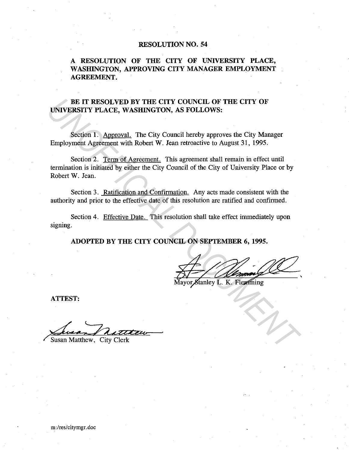# **RESOLUTION NO. 54**

**A RESOLUTION OF THE CITY OF UNIVERSITY PLACE, WASHINGTON, APPROVING CITY MANAGER EMPLOYMENT AGREEMENT.** 

# BE IT RESOLVED BY THE CITY COUNCIL OF THE CITY OF **UNIVERSITY PLACE, WASHINGTON, AS FOLLOWS:**

Section 1. Approval. The City Council hereby approves the City Manager Employment Agreement with Robert W. Jean retroactive to August 31, 1995.

Section 2. Term of Agreement. This agreement shall remain in effect until termination is initiated by either the City Council of the City of University Place or by Robert W. Jean. **EXECUTE DESCRIP DESCRIP COUNCIL OF THE CITY OF UNIVERSITY PLACE, WASHINGTON, AS FOLLOWS:**<br>
Section 1. <u>Approval</u>, The City Council hereby approves the City Manager<br>
Employment Agreement with Robert W. Jean retroactive to

Section 3. Ratification and Confirmation. Any acts made consistent with the authority and prior to the effective date of this resolution are ratified and confirmed.

Section 4. Effective Date. This resolution shall take effect immediately upon signing.

**ADOPTED BY THE CITY COUNCIL ON SEPTEMBER 6, 1995.** 

**ATTEST:** 

Susan Matthew, City Clerk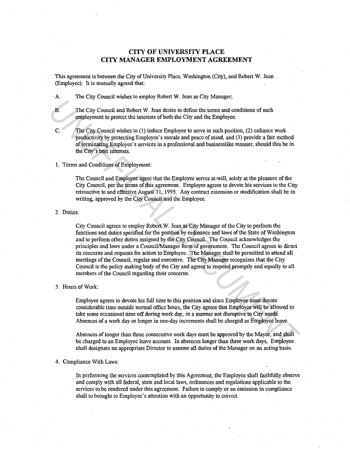# **CITY OF UNIVERSITY PLACE CITY MANAGER EMPLOYMENT AGREEMENT**

This agreement is between the City of University Place, Washington (City), and Robert W. Jean (Employee). It is mutually agreed that:

·A. The City Council wishes to employ Robert W. Jean as City Manager;

B. The City Council and Robert W. Jean desire to define the terms and conditions of such employment to protect the interests of both the City and the Employee.

C. The City Council wishes to (1) induce Employee to serve in such position, (2) enhance work productivity by protecting Employee's morale and peace of mind, and (3) provide a fair method of terminating Employee's services in a professional and businesslike manner, should this be in the City's best interests.

# 1. Terms and Conditions of Employment:

The Council and Employee agree that the Employee serves at-will, solely at the pleasure of the City Council, per the terms of this agreement. Employee agrees to devote his services to the City retroactive to and effective August 31, 1995. Any contract extension or modification shall be in writing, approved by the City Council and the Employee.

2. Duties:

City Council agrees to employ Robert W. Jean as City Manager of the City to perform the functions and duties specified for the position by ordinance and laws of the State of Washington and to perform other duties assigned by the City Council. The Council acknowledges the principles and laws under a Council/Manager form of government. The Council agrees to direct its concerns and requests for action to Employee. The Manager shall be permitted to attend all meetings of the Council, regular and executive. The City Manager recognizes that the City Council is the policy making body of the City and agrees to respond promptly and equally to all members of the Council regarding their concerns. **The City Council and Robert W. Jean desire to define the terms and conditions of such<br>
<b>UPS**<br> **UPS** City Council wishes to (1) induce Employee. C.<br> **The City Council wishes to (1) induce Employees to serve in such positio** 

#### 3. Hours of Work:

Employee agrees to devote his full time to this position and since Employee must devote considerable time outside normal office hours, the City agrees that Employee will be allowed to take some occasional time off during work day, in a manner not disruptive to City needs. Absences of a work day or longer in one-day increments shall be charged as Employee leave.

Absences of longer than three consecutive work days must be approved by the Mayor, and shall be charged to an Employee leave account. In absences longer than three work days, Employee shall designate an appropriate Director to assume all duties of the Manager on an acting basis.

# 4. Compliance With Laws:

In performing the services contemplated by this Agreement, the Employee shall faithfully observe and comply with all federal, state and local laws, ordinances and regulations applicable to the services to be rendered under this agreement. Failure to comply or an omission in compliance shall to brought to Employee's attention with an opportunity to correct.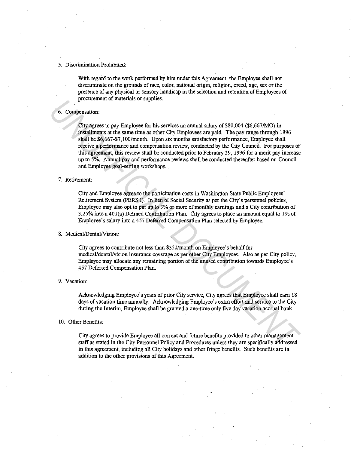# 5. Discrimination Prohibited:

With regard to the work performed by him under this Agreement, the Employee shall not discriminate on tbe grounds of race, color, national origin, religion, creed, age, sex or tbe presence of any physical or sensory handicap in the selection and retention of Employees of procurement of materials or supplies.

# 6. Compensation:

City agrees to pay Employee for his services an annual salary of \$80,004 (\$6,667/MO) in installments at the same time as other City Employees are paid. The pay range through 1996 shall be \$6,667-\$7,100/month. Upon six months satisfactory performance, Employee shall receive a performance and compensation review, conducted by tbe City Council. For purposes of this agreement, this review shall be conducted prior to February 29, 1996 for a merit pay increase up to 5%. Annual pay and performance reviews shall be conducted thereafter based on Council and Employee goal-setting workshops. For symphones and materials on supplies.<br> **Example 1810** only Employees and annual salary of \$80,004 (\$6,667MO) in<br>
Litty agrees to pay Employee for his services an annual salary of \$80,004 (\$6,667MO) in<br>
1913 dail to Sofo

#### 7. Retirement:

City and Employee agree to the participation costs in Washington State Public Employees' Retirement System (PERS I). In lieu of Social Security as per the City's personnel policies, Employee may also opt to put up to 3% or more of monthly earnings and a City contribution of  $3.25\%$  into a 401(a) Defined Contribution Plan. City agrees to place an amount equal to 1% of Employee's salary into a 457 Deferred Compensation Plan selected by Employee.

# 8. Medical/Dental/Vision:

City agrees to contribute not less than \$350/month on Employee's behalf for medical/dental/vision insurance coverage as per other City Employees. Also as per City policy, Employee may allocate any remaining portion of the unused contribution towards Employee's 457 Deferred Compensation Plan.

#### 9. Vacation:

Acknowledging Employee's years of prior City service, City agrees tbat Employee shall earn 18 days of vacation time annually. Acknowledging Employee's extra effort and service to the City during tbe Interim, Employee shall be granted a one-time only five day vacation accrual bank.

## 10. Otber Benefits:

City agrees to provide Employee all current and future benefits provided to otber management staff as stated in tbe City Personnel Policy and Procedures unless tbey are specifically addressed in this agreement, including all City holidays and otber fringe benefits. Such benefits are in addition to the other provisions of this Agreement.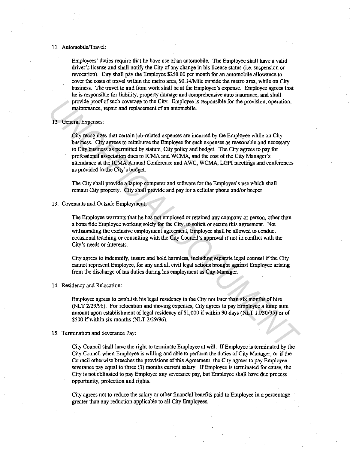# 11. Automobile/Travel:

Employees' duties require that he have use of an automobile. The Employee shall have a valid driver's license and shall notify the City of any change in his license status (i.e. suspension or revocation). City shall pay the Employee \$250.00 per month for an automobile allowance to cover the costs of travel within the metro area, \$0.14/Mile outside the metro area, while on City business. The travel to and from work shall be at the Employee's expense. Employee agrees that he is responsible for liability, property damage and comprehensive auto insurance, and shall provide proof of such coverage to the City. Employee is responsible for the provision, operation, maintenance, repair and replacement of an automobile.

# 12. General Expenses:

City recognizes that certain job-related expenses are incurred by the Employee while on City business. City agrees to reimburse the Employee for such expenses as reasonable and necessary to City business as permitted by statute, City policy and budget. The City agrees to pay for professional association dues to ICMA and WCMA, and the cost of the City Manager's attendance at the ICMA Annual Conference and AWC, WCMA, LGPI meetings and conferences as provided in the City's budget. provide proof of such coverage to the City. Employee is responsible for the provision, operation,<br>
Tailumenze, repair and replacement of an automobile.<br>
12. General Expenses:<br>
City recognizes that certain job-related expen

The City shall provide a laptop computer and software for the Employee's use which shall remain City property. City shall provide and pay for a cellular phone and/or beeper.

# 13. Covenants and Outside Employment;

The Employee warrants that he has not employed or retained any company or person, other than a bona fide Employee working solely for the City, to solicit or secure this agreement. Not withstanding the exclusive employment agreement, Employee shall be allowed to conduct occasional teaching or consulting with the City Council's approval if not in conflict with the City's needs or interests.

City agrees to indemnify, insure and hold harmless, including separate legal counsel if the City cannot represent Employee, for any and all civil legal actions brought against Employee arising from the discharge of his duties during his employment as City Manager.

# 14. Residency and Relocation:

Employee agrees to establish his legal residency in the City not later than six months of hire (NLT 2/29/96). For relocation and moving expenses, City agrees to pay Employee a lump sum amount upon establishment of legal residency of \$1,000 if within 90 days (NLT 11/30/95) or of  $$500$  if within six months (NLT 2/29/96).

#### 15. Termination and Severance Pay:

City Council shall have the right to terminate Employee at will. If Employee is terminated by the City Council when Employee is willing and able to perform the duties of City Manager, or if the Council otherwise breeches the provisions of this Agreement, the City agrees to pay Employee severance pay equal to three (3) months current salary. If Employee is terminated for cause, the City is not obligated to pay Employee any severance pay, but Employee shall have due process opportunity, protection and rights.

City agrees not to reduce the salary or other financial benefits paid to Employee in a percentage greater than any reduction applicable to all City Employees.